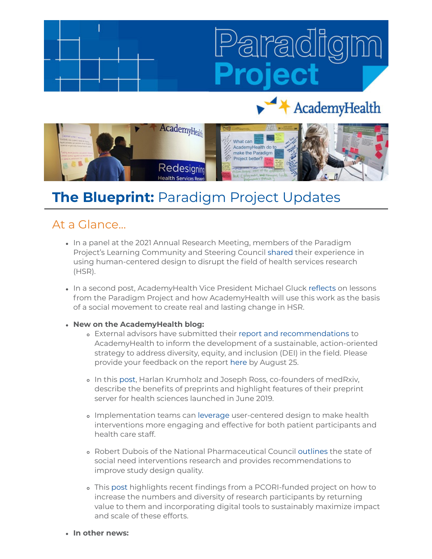# AcademyHealth



## **The Blueprint:** Paradigm Project Updates

### At a Glance...

- In a panel at the 2021 Annual Research Meeting, members of the Paradigm Project's Learning Community and Steering Council [shared](https://academyhealth.org/blog/2021-07/introspection-innovation-and-impatience-paradigm-project-members-speak-field-arm-2021?utm_medium=email&utm_source=rasa_io&PostID=33796837&MessageRunDetailID=5794522007) their experience in using human-centered design to disrupt the field of health services research (HSR).
- In a second post, AcademyHealth Vice President Michael Gluck [reflects](https://academyhealth.org/blog/2021-08/shifting-academyhealths-paradigm-project-social-movement) on lessons from the Paradigm Project and how AcademyHealth will use this work as the basis of a social movement to create real and lasting change in HSR.

#### **New on the AcademyHealth blog:**

- External advisors have submitted their [report and recommendations](https://academyhealth.org/blog/2021-08/advisory-group-diversity-equity-and-inclusion-health-services-and-policy-research-releases-recommendations) to AcademyHealth to inform the development of a sustainable, action-oriented strategy to address diversity, equity, and inclusion (DEI) in the field. Please provide your feedback on the report [here](https://www.surveymonkey.com/r/AG_DEI_2021) by August 25.
- In this [post](https://academyhealth.org/blog/2021-07/preprints-make-research-more-accessible-use-among-health-services-researchers-low?utm_medium=email&utm_source=rasa_io&PostID=34369462&MessageRunDetailID=5899292665), Harlan Krumholz and Joseph Ross, co-founders of medRxiv, describe the benefits of preprints and highlight features of their preprint server for health sciences launched in June 2019.
- Implementation teams can [leverage](https://academyhealth.org/blog/2021-08/implementation-science-leveraging-user-centered-design-improve-experiences-health-interventions) user-centered design to make health interventions more engaging and effective for both patient participants and health care staff.
- Robert Dubois of the National Pharmaceutical Council [outlines](https://academyhealth.org/blog/2021-08/building-better-evidence-base-address-social-determinants-health) the state of social need interventions research and provides recommendations to improve study design quality.
- This [post](https://academyhealth.org/blog/2021-08/health-affairs-blog-post-examines-digital-strategies-drive-research-participation) highlights recent findings from a PCORI-funded project on how to increase the numbers and diversity of research participants by returning value to them and incorporating digital tools to sustainably maximize impact and scale of these efforts.
- **In other news:**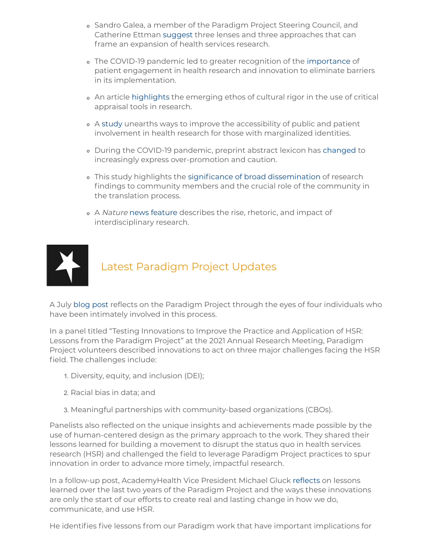- Sandro Galea, a member of the Paradigm Project Steering Council, and Catherine Ettman [suggest](https://onlinelibrary.wiley.com/doi/epdf/10.1111/1475-6773.13716) three lenses and three approaches that can frame an expansion of health services research.
- The COVID-19 pandemic led to greater recognition of the [importance](https://www.cmaj.ca/content/cmaj/193/27/E1048.full.pdf) of patient engagement in health research and innovation to eliminate barriers in its implementation.
- An article [highlights](https://pubmed.ncbi.nlm.nih.gov/33900687/) the emerging ethos of cultural rigor in the use of critical appraisal tools in research.
- A [study](https://researchinvolvement.biomedcentral.com/articles/10.1186/s40900-021-00296-9) unearths ways to improve the accessibility of public and patient involvement in health research for those with marginalized identities.
- During the COVID-19 pandemic, preprint abstract lexicon has [changed](https://onlinelibrary.wiley.com/doi/10.1002/leap.1411) to increasingly express over-promotion and caution.
- This study highlights the [significance of broad dissemination](https://academic.oup.com/tbm/advance-article-abstract/doi/10.1093/tbm/ibab095/6318544?redirectedFrom=fulltext) of research findings to community members and the crucial role of the community in the translation process.
- o A Nature [news feature](https://www.nature.com/news/interdisciplinary-research-by-the-numbers-1.18349) describes the rise, rhetoric, and impact of interdisciplinary research.



## Latest Paradigm Project Updates

A July [blog post](https://academyhealth.org/blog/2021-07/introspection-innovation-and-impatience-paradigm-project-members-speak-field-arm-2021?utm_medium=email&utm_source=rasa_io&PostID=33796837&MessageRunDetailID=5794522007) reflects on the Paradigm Project through the eyes of four individuals who have been intimately involved in this process.

In a panel titled "Testing Innovations to Improve the Practice and Application of HSR: Lessons from the Paradigm Project" at the 2021 Annual Research Meeting, Paradigm Project volunteers described innovations to act on three major challenges facing the HSR field. The challenges include:

- 1. Diversity, equity, and inclusion (DEI);
- 2. Racial bias in data; and
- 3. Meaningful partnerships with community-based organizations (CBOs).

Panelists also reflected on the unique insights and achievements made possible by the use of human-centered design as the primary approach to the work. They shared their lessons learned for building a movement to disrupt the status quo in health services research (HSR) and challenged the field to leverage Paradigm Project practices to spur innovation in order to advance more timely, impactful research.

In a follow-up post, AcademyHealth Vice President Michael Gluck [reflects](https://academyhealth.org/blog/2021-08/shifting-academyhealths-paradigm-project-social-movement) on lessons learned over the last two years of the Paradigm Project and the ways these innovations are only the start of our efforts to create real and lasting change in how we do, communicate, and use HSR.

He identifies five lessons from our Paradigm work that have important implications for